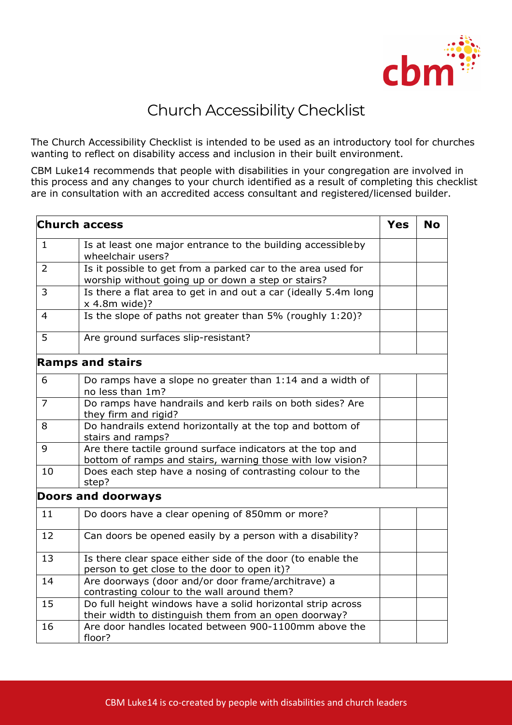

## Church Accessibility Checklist

The Church Accessibility Checklist is intended to be used as an introductory tool for churches wanting to reflect on disability access and inclusion in their built environment.

CBM Luke14 recommends that people with disabilities in your congregation are involved in this process and any changes to your church identified as a result of completing this checklist are in consultation with an accredited access consultant and registered/licensed builder.

| <b>Church access</b>    |                                                                                                                          | <b>Yes</b> | <b>No</b> |  |  |
|-------------------------|--------------------------------------------------------------------------------------------------------------------------|------------|-----------|--|--|
| $\mathbf{1}$            | Is at least one major entrance to the building accessible by<br>wheelchair users?                                        |            |           |  |  |
| 2                       | Is it possible to get from a parked car to the area used for<br>worship without going up or down a step or stairs?       |            |           |  |  |
| 3                       | Is there a flat area to get in and out a car (ideally 5.4m long<br>x 4.8m wide)?                                         |            |           |  |  |
| 4                       | Is the slope of paths not greater than 5% (roughly 1:20)?                                                                |            |           |  |  |
| 5                       | Are ground surfaces slip-resistant?                                                                                      |            |           |  |  |
| <b>Ramps and stairs</b> |                                                                                                                          |            |           |  |  |
| 6                       | Do ramps have a slope no greater than 1:14 and a width of<br>no less than 1m?                                            |            |           |  |  |
| $\overline{7}$          | Do ramps have handrails and kerb rails on both sides? Are<br>they firm and rigid?                                        |            |           |  |  |
| 8                       | Do handrails extend horizontally at the top and bottom of<br>stairs and ramps?                                           |            |           |  |  |
| 9                       | Are there tactile ground surface indicators at the top and<br>bottom of ramps and stairs, warning those with low vision? |            |           |  |  |
| 10                      | Does each step have a nosing of contrasting colour to the<br>step?                                                       |            |           |  |  |
|                         | <b>Doors and doorways</b>                                                                                                |            |           |  |  |
| 11                      | Do doors have a clear opening of 850mm or more?                                                                          |            |           |  |  |
| 12                      | Can doors be opened easily by a person with a disability?                                                                |            |           |  |  |
| 13                      | Is there clear space either side of the door (to enable the<br>person to get close to the door to open it)?              |            |           |  |  |
| 14                      | Are doorways (door and/or door frame/architrave) a<br>contrasting colour to the wall around them?                        |            |           |  |  |
| 15                      | Do full height windows have a solid horizontal strip across<br>their width to distinguish them from an open doorway?     |            |           |  |  |
| 16                      | Are door handles located between 900-1100mm above the<br>floor?                                                          |            |           |  |  |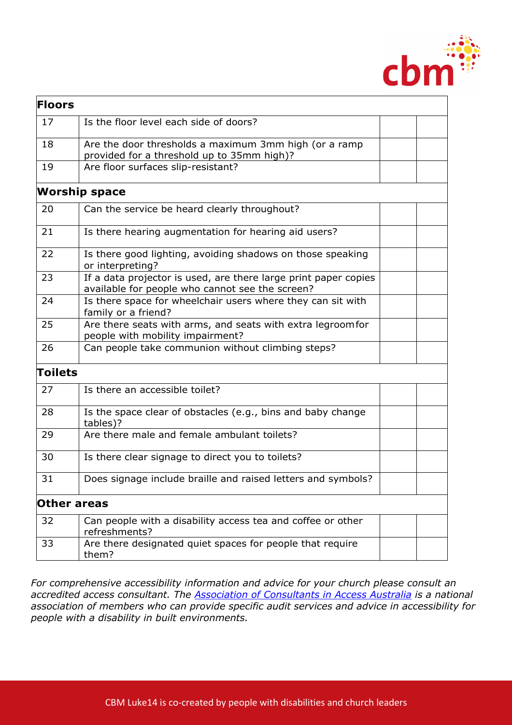

| <b>Floors</b> |                                                                                                                    |  |
|---------------|--------------------------------------------------------------------------------------------------------------------|--|
| 17            | Is the floor level each side of doors?                                                                             |  |
| 18            | Are the door thresholds a maximum 3mm high (or a ramp<br>provided for a threshold up to 35mm high)?                |  |
| 19            | Are floor surfaces slip-resistant?                                                                                 |  |
|               | <b>Worship space</b>                                                                                               |  |
| 20            | Can the service be heard clearly throughout?                                                                       |  |
| 21            | Is there hearing augmentation for hearing aid users?                                                               |  |
| 22            | Is there good lighting, avoiding shadows on those speaking<br>or interpreting?                                     |  |
| 23            | If a data projector is used, are there large print paper copies<br>available for people who cannot see the screen? |  |
| 24            | Is there space for wheelchair users where they can sit with<br>family or a friend?                                 |  |
| 25            | Are there seats with arms, and seats with extra legroomfor<br>people with mobility impairment?                     |  |
| 26            | Can people take communion without climbing steps?                                                                  |  |
| Toilets       |                                                                                                                    |  |
| 27            | Is there an accessible toilet?                                                                                     |  |
| 28            | Is the space clear of obstacles (e.g., bins and baby change<br>tables)?                                            |  |
| 29            | Are there male and female ambulant toilets?                                                                        |  |
| 30            | Is there clear signage to direct you to toilets?                                                                   |  |
| 31            | Does signage include braille and raised letters and symbols?                                                       |  |
|               | Other areas                                                                                                        |  |
| 32            | Can people with a disability access tea and coffee or other<br>refreshments?                                       |  |
| 33            | Are there designated quiet spaces for people that require<br>them?                                                 |  |

*For comprehensive accessibility information and advice for your church please consult an accredited access consultant. The Association of Consultants in Access Australia is a national association of members who can provide specific audit services and advice in accessibility for people with a disability in built environments.*